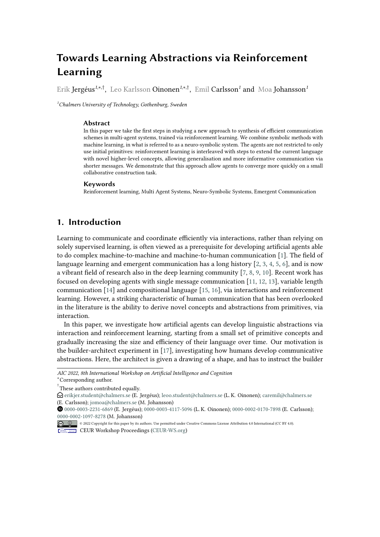# **Towards Learning Abstractions via Reinforcement Learning**

Erik Jergéus*<sup>1</sup>*,\*,† , Leo Karlsson Oinonen*<sup>1</sup>*,\*,† , Emil Carlsson*<sup>1</sup>* and Moa Johansson*<sup>1</sup>*

*<sup>1</sup>Chalmers University of Technology, Gothenburg, Sweden*

#### **Abstract**

In this paper we take the first steps in studying a new approach to synthesis of efficient communication schemes in multi-agent systems, trained via reinforcement learning. We combine symbolic methods with machine learning, in what is referred to as a neuro-symbolic system. The agents are not restricted to only use initial primitives: reinforcement learning is interleaved with steps to extend the current language with novel higher-level concepts, allowing generalisation and more informative communication via shorter messages. We demonstrate that this approach allow agents to converge more quickly on a small collaborative construction task.

#### **Keywords**

Reinforcement learning, Multi Agent Systems, Neuro-Symbolic Systems, Emergent Communication

## **1. Introduction**

Learning to communicate and coordinate efficiently via interactions, rather than relying on solely supervised learning, is often viewed as a prerequisite for developing artificial agents able to do complex machine-to-machine and machine-to-human communication [\[1\]](#page-5-0). The field of language learning and emergent communication has a long history [\[2,](#page-5-1) [3,](#page-5-2) [4,](#page-5-3) [5,](#page-5-4) [6\]](#page-6-0), and is now a vibrant field of research also in the deep learning community  $[7, 8, 9, 10]$  $[7, 8, 9, 10]$  $[7, 8, 9, 10]$  $[7, 8, 9, 10]$  $[7, 8, 9, 10]$  $[7, 8, 9, 10]$  $[7, 8, 9, 10]$ . Recent work has focused on developing agents with single message communication [\[11,](#page-6-5) [12,](#page-6-6) [13\]](#page-6-7), variable length communication [\[14\]](#page-6-8) and compositional language [\[15,](#page-6-9) [16\]](#page-6-10), via interactions and reinforcement learning. However, a striking characteristic of human communication that has been overlooked in the literature is the ability to derive novel concepts and abstractions from primitives, via interaction.

In this paper, we investigate how artificial agents can develop linguistic abstractions via interaction and reinforcement learning, starting from a small set of primitive concepts and gradually increasing the size and efficiency of their language over time. Our motivation is the builder-architect experiment in [\[17\]](#page-6-11), investigating how humans develop communicative abstractions. Here, the architect is given a drawing of a shape, and has to instruct the builder

*AIC 2022, 8th International Workshop on Artificial Intelligence and Cognition*

<sup>\*</sup>Corresponding author.

<sup>†</sup> These authors contributed equally.

 $\Theta$  [erikjer.student@chalmers.se](mailto:erikjer.student@chalmers.se) (E. Jergéus); [leoo.student@chalmers.se](mailto:leoo.student@chalmers.se) (L. K. Oinonen); [caremil@chalmers.se](mailto:caremil@chalmers.se) (E. Carlsson); [jomoa@chalmers.se](mailto:jomoa@chalmers.se) (M. Johansson)

[0000-0003-2231-6869](https://orcid.org/0000-0003-2231-6869) (E. Jergéus); [0000-0003-4117-5096](https://orcid.org/0000-0003-4117-5096) (L. K. Oinonen); [0000-0002-0170-7898](https://orcid.org/0000-0002-0170-7898) (E. Carlsson); [0000-0002-1097-8278](https://orcid.org/0000-0002-1097-8278) (M. Johansson)

<sup>©</sup> 2022 Copyright for this paper by its authors. Use permitted under Creative Commons License Attribution 4.0 International (CC BY 4.0). **CEUR Workshop [Proceedings](http://ceur-ws.org) [\(CEUR-WS.org\)](http://ceur-ws.org)**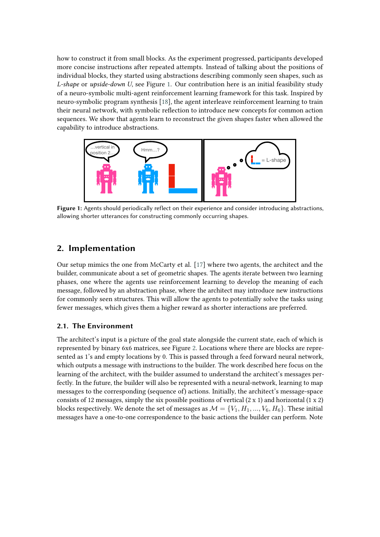how to construct it from small blocks. As the experiment progressed, participants developed more concise instructions after repeated attempts. Instead of talking about the positions of individual blocks, they started using abstractions describing commonly seen shapes, such as *L-shape* or *upside-down U*, see Figure [1.](#page-1-0) Our contribution here is an initial feasibility study of a neuro-symbolic multi-agent reinforcement learning framework for this task. Inspired by neuro-symbolic program synthesis [\[18\]](#page-6-12), the agent interleave reinforcement learning to train their neural network, with symbolic reflection to introduce new concepts for common action sequences. We show that agents learn to reconstruct the given shapes faster when allowed the capability to introduce abstractions.

<span id="page-1-0"></span>

Figure 1: Agents should periodically reflect on their experience and consider introducing abstractions, allowing shorter utterances for constructing commonly occurring shapes.

## **2. Implementation**

Our setup mimics the one from McCarty et al. [\[17\]](#page-6-11) where two agents, the architect and the builder, communicate about a set of geometric shapes. The agents iterate between two learning phases, one where the agents use reinforcement learning to develop the meaning of each message, followed by an abstraction phase, where the architect may introduce new instructions for commonly seen structures. This will allow the agents to potentially solve the tasks using fewer messages, which gives them a higher reward as shorter interactions are preferred.

### **2.1. The Environment**

The architect's input is a picture of the goal state alongside the current state, each of which is represented by binary 6x6 matrices, see Figure [2.](#page-2-0) Locations where there are blocks are represented as 1's and empty locations by 0. This is passed through a feed forward neural network, which outputs a message with instructions to the builder. The work described here focus on the learning of the architect, with the builder assumed to understand the architect's messages perfectly. In the future, the builder will also be represented with a neural-network, learning to map messages to the corresponding (sequence of) actions. Initially, the architect's message-space consists of 12 messages, simply the six possible positions of vertical  $(2 \times 1)$  and horizontal  $(1 \times 2)$ blocks respectively. We denote the set of messages as  $\mathcal{M} = \{V_1, H_1, ..., V_6, H_6\}$ . These initial messages have a one-to-one correspondence to the basic actions the builder can perform. Note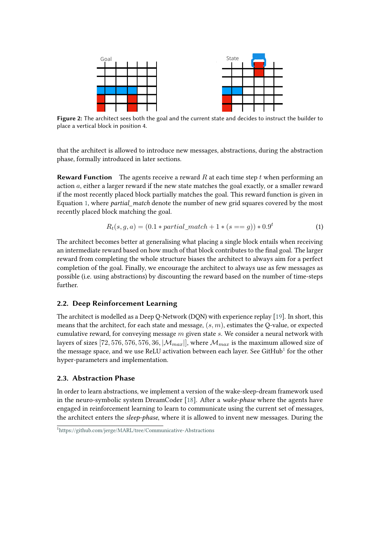<span id="page-2-0"></span>

**Figure 2:** The architect sees both the goal and the current state and decides to instruct the builder to place a vertical block in position 4.

that the architect is allowed to introduce new messages, abstractions, during the abstraction phase, formally introduced in later sections.

**Reward Function** The agents receive a reward  $R$  at each time step  $t$  when performing an action  $a$ , either a larger reward if the new state matches the goal exactly, or a smaller reward if the most recently placed block partially matches the goal. This reward function is given in Equation [1,](#page-2-1) where *partial\_match* denote the number of new grid squares covered by the most recently placed block matching the goal.

<span id="page-2-1"></span>
$$
R_t(s, g, a) = (0.1 * partial\_match + 1 * (s == g)) * 0.9^t
$$
\n(1)

The architect becomes better at generalising what placing a single block entails when receiving an intermediate reward based on how much of that block contributes to the final goal. The larger reward from completing the whole structure biases the architect to always aim for a perfect completion of the goal. Finally, we encourage the architect to always use as few messages as possible (i.e. using abstractions) by discounting the reward based on the number of time-steps further.

#### **2.2. Deep Reinforcement Learning**

The architect is modelled as a Deep Q-Network (DQN) with experience replay [\[19\]](#page-6-13). In short, this means that the architect, for each state and message,  $(s, m)$ , estimates the O-value, or expected cumulative reward, for conveying message  $m$  given state  $s$ . We consider a neural network with layers of sizes [72, 576, 576, 576, 36,  $|\mathcal{M}_{max}|$ ], where  $\mathcal{M}_{max}$  is the maximum allowed size of the message space, and we use ReLU activation between each layer. See GitHub<sup>[1](#page-2-2)</sup> for the other hyper-parameters and implementation.

#### **2.3. Abstraction Phase**

In order to learn abstractions, we implement a version of the wake-sleep-dream framework used in the neuro-symbolic system DreamCoder [\[18\]](#page-6-12). After a *wake-phase* where the agents have engaged in reinforcement learning to learn to communicate using the current set of messages, the architect enters the *sleep-phase*, where it is allowed to invent new messages. During the

<span id="page-2-2"></span><sup>1</sup> <https://github.com/jerge/MARL/tree/Communicative-Abstractions>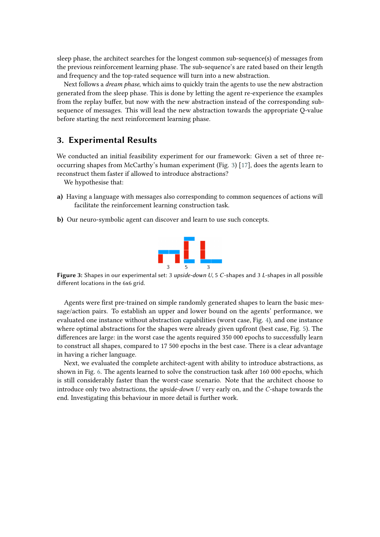sleep phase, the architect searches for the longest common sub-sequence(s) of messages from the previous reinforcement learning phase. The sub-sequence's are rated based on their length and frequency and the top-rated sequence will turn into a new abstraction.

Next follows a *dream phase*, which aims to quickly train the agents to use the new abstraction generated from the sleep phase. This is done by letting the agent re-experience the examples from the replay buffer, but now with the new abstraction instead of the corresponding subsequence of messages. This will lead the new abstraction towards the appropriate Q-value before starting the next reinforcement learning phase.

## **3. Experimental Results**

We conducted an initial feasibility experiment for our framework: Given a set of three reoccurring shapes from McCarthy's human experiment (Fig. [3\)](#page-3-0) [\[17\]](#page-6-11), does the agents learn to reconstruct them faster if allowed to introduce abstractions?

We hypothesise that:

- **a)** Having a language with messages also corresponding to common sequences of actions will facilitate the reinforcement learning construction task.
- <span id="page-3-0"></span>**b)** Our neuro-symbolic agent can discover and learn to use such concepts.



**Figure 3:** Shapes in our experimental set: 3 *upside-down U*, 5 *C*-shapes and 3 *L*-shapes in all possible different locations in the 6x6 grid.

Agents were first pre-trained on simple randomly generated shapes to learn the basic message/action pairs. To establish an upper and lower bound on the agents' performance, we evaluated one instance without abstraction capabilities (worst case, Fig. [4\)](#page-4-0), and one instance where optimal abstractions for the shapes were already given upfront (best case, Fig. [5\)](#page-4-1). The differences are large: in the worst case the agents required 350 000 epochs to successfully learn to construct all shapes, compared to 17 500 epochs in the best case. There is a clear advantage in having a richer language.

Next, we evaluated the complete architect-agent with ability to introduce abstractions, as shown in Fig. [6.](#page-5-5) The agents learned to solve the construction task after 160 000 epochs, which is still considerably faster than the worst-case scenario. Note that the architect choose to introduce only two abstractions, the *upside-down U* very early on, and the *C*-shape towards the end. Investigating this behaviour in more detail is further work.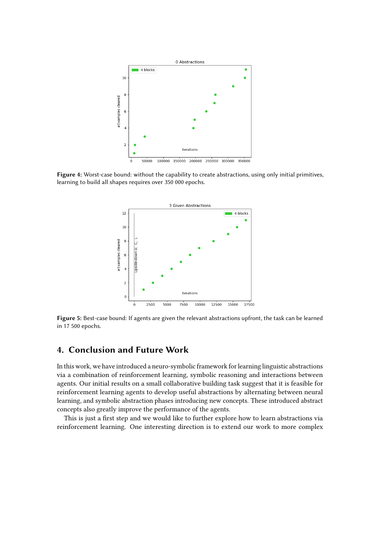<span id="page-4-0"></span>

<span id="page-4-1"></span>**Figure 4:** Worst-case bound: without the capability to create abstractions, using only initial primitives, learning to build all shapes requires over 350 000 epochs.



**Figure 5:** Best-case bound: If agents are given the relevant abstractions upfront, the task can be learned in 17 500 epochs.

## **4. Conclusion and Future Work**

In this work, we have introduced a neuro-symbolic framework for learning linguistic abstractions via a combination of reinforcement learning, symbolic reasoning and interactions between agents. Our initial results on a small collaborative building task suggest that it is feasible for reinforcement learning agents to develop useful abstractions by alternating between neural learning, and symbolic abstraction phases introducing new concepts. These introduced abstract concepts also greatly improve the performance of the agents.

This is just a first step and we would like to further explore how to learn abstractions via reinforcement learning. One interesting direction is to extend our work to more complex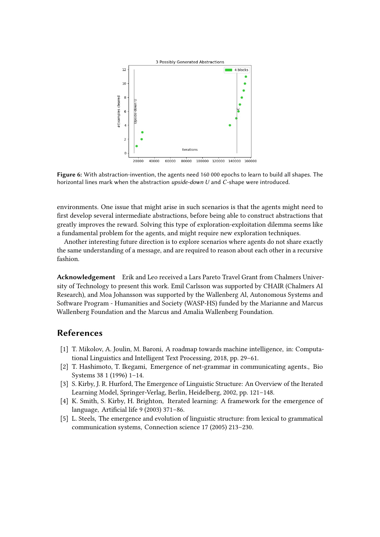<span id="page-5-5"></span>

**Figure 6:** With abstraction-invention, the agents need 160 000 epochs to learn to build all shapes. The horizontal lines mark when the abstraction *upside-down U* and *C*-shape were introduced.

environments. One issue that might arise in such scenarios is that the agents might need to first develop several intermediate abstractions, before being able to construct abstractions that greatly improves the reward. Solving this type of exploration-exploitation dilemma seems like a fundamental problem for the agents, and might require new exploration techniques.

Another interesting future direction is to explore scenarios where agents do not share exactly the same understanding of a message, and are required to reason about each other in a recursive fashion.

**Acknowledgement** Erik and Leo received a Lars Pareto Travel Grant from Chalmers University of Technology to present this work. Emil Carlsson was supported by CHAIR (Chalmers AI Research), and Moa Johansson was supported by the Wallenberg Al, Autonomous Systems and Software Program - Humanities and Society (WASP-HS) funded by the Marianne and Marcus Wallenberg Foundation and the Marcus and Amalia Wallenberg Foundation.

## **References**

- <span id="page-5-0"></span>[1] T. Mikolov, A. Joulin, M. Baroni, A roadmap towards machine intelligence, in: Computational Linguistics and Intelligent Text Processing, 2018, pp. 29–61.
- <span id="page-5-1"></span>[2] T. Hashimoto, T. Ikegami, Emergence of net-grammar in communicating agents., Bio Systems 38 1 (1996) 1–14.
- <span id="page-5-2"></span>[3] S. Kirby, J. R. Hurford, The Emergence of Linguistic Structure: An Overview of the Iterated Learning Model, Springer-Verlag, Berlin, Heidelberg, 2002, pp. 121–148.
- <span id="page-5-3"></span>[4] K. Smith, S. Kirby, H. Brighton, Iterated learning: A framework for the emergence of language, Artificial life 9 (2003) 371–86.
- <span id="page-5-4"></span>[5] L. Steels, The emergence and evolution of linguistic structure: from lexical to grammatical communication systems, Connection science 17 (2005) 213–230.